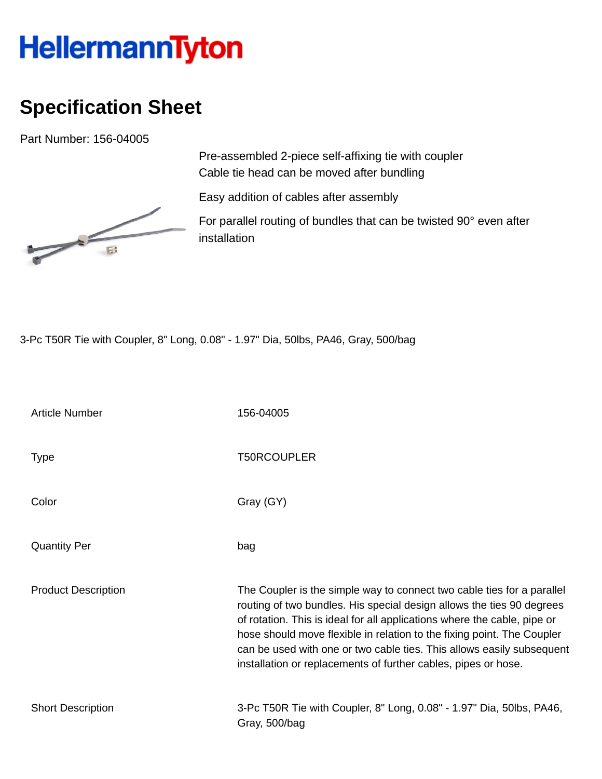## HellermannTyton

## **Specification Sheet**

Part Number: 156-04005



Pre-assembled 2-piece self-affixing tie with coupler Cable tie head can be moved after bundling

Easy addition of cables after assembly

For parallel routing of bundles that can be twisted 90° even after installation

3-Pc T50R Tie with Coupler, 8" Long, 0.08" - 1.97" Dia, 50lbs, PA46, Gray, 500/bag

| <b>Article Number</b>      | 156-04005                                                                                                                                                                                                                                                                                                                                                                                                                                        |
|----------------------------|--------------------------------------------------------------------------------------------------------------------------------------------------------------------------------------------------------------------------------------------------------------------------------------------------------------------------------------------------------------------------------------------------------------------------------------------------|
| <b>Type</b>                | <b>T50RCOUPLER</b>                                                                                                                                                                                                                                                                                                                                                                                                                               |
| Color                      | Gray (GY)                                                                                                                                                                                                                                                                                                                                                                                                                                        |
| <b>Quantity Per</b>        | bag                                                                                                                                                                                                                                                                                                                                                                                                                                              |
| <b>Product Description</b> | The Coupler is the simple way to connect two cable ties for a parallel<br>routing of two bundles. His special design allows the ties 90 degrees<br>of rotation. This is ideal for all applications where the cable, pipe or<br>hose should move flexible in relation to the fixing point. The Coupler<br>can be used with one or two cable ties. This allows easily subsequent<br>installation or replacements of further cables, pipes or hose. |
| <b>Short Description</b>   | 3-Pc T50R Tie with Coupler, 8" Long, 0.08" - 1.97" Dia, 50lbs, PA46,<br>Gray, 500/bag                                                                                                                                                                                                                                                                                                                                                            |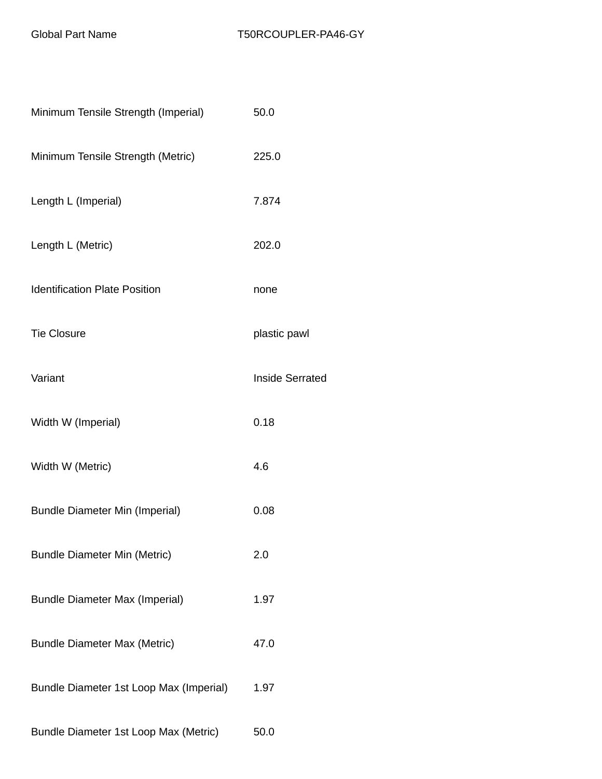| Minimum Tensile Strength (Imperial)     | 50.0                   |
|-----------------------------------------|------------------------|
| Minimum Tensile Strength (Metric)       | 225.0                  |
| Length L (Imperial)                     | 7.874                  |
| Length L (Metric)                       | 202.0                  |
| <b>Identification Plate Position</b>    | none                   |
| <b>Tie Closure</b>                      | plastic pawl           |
| Variant                                 | <b>Inside Serrated</b> |
| Width W (Imperial)                      | 0.18                   |
| Width W (Metric)                        | 4.6                    |
| <b>Bundle Diameter Min (Imperial)</b>   | 0.08                   |
| <b>Bundle Diameter Min (Metric)</b>     | 2.0                    |
| <b>Bundle Diameter Max (Imperial)</b>   | 1.97                   |
| <b>Bundle Diameter Max (Metric)</b>     | 47.0                   |
| Bundle Diameter 1st Loop Max (Imperial) | 1.97                   |
| Bundle Diameter 1st Loop Max (Metric)   | 50.0                   |